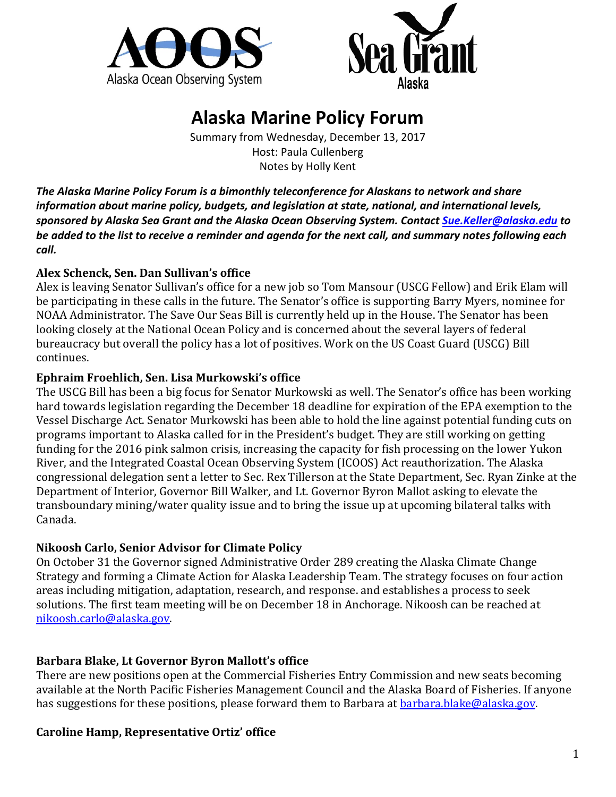



# **Alaska Marine Policy Forum**

Summary from Wednesday, December 13, 2017 Host: Paula Cullenberg Notes by Holly Kent

*The Alaska Marine Policy Forum is a bimonthly teleconference for Alaskans to network and share information about marine policy, budgets, and legislation at state, national, and international levels, sponsored by Alaska Sea Grant and the Alaska Ocean Observing System. Contac[t Sue.Keller@alaska.edu](mailto:Sue.Keller@alaska.edu) to be added to the list to receive a reminder and agenda for the next call, and summary notes following each call.*

### **Alex Schenck, Sen. Dan Sullivan's office**

Alex is leaving Senator Sullivan's office for a new job so Tom Mansour (USCG Fellow) and Erik Elam will be participating in these calls in the future. The Senator's office is supporting Barry Myers, nominee for NOAA Administrator. The Save Our Seas Bill is currently held up in the House. The Senator has been looking closely at the National Ocean Policy and is concerned about the several layers of federal bureaucracy but overall the policy has a lot of positives. Work on the US Coast Guard (USCG) Bill continues.

### **Ephraim Froehlich, Sen. Lisa Murkowski's office**

The USCG Bill has been a big focus for Senator Murkowski as well. The Senator's office has been working hard towards legislation regarding the December 18 deadline for expiration of the EPA exemption to the Vessel Discharge Act. Senator Murkowski has been able to hold the line against potential funding cuts on programs important to Alaska called for in the President's budget. They are still working on getting funding for the 2016 pink salmon crisis, increasing the capacity for fish processing on the lower Yukon River, and the Integrated Coastal Ocean Observing System (ICOOS) Act reauthorization. The Alaska congressional delegation sent a letter to Sec. Rex Tillerson at the State Department, Sec. Ryan Zinke at the Department of Interior, Governor Bill Walker, and Lt. Governor Byron Mallot asking to elevate the transboundary mining/water quality issue and to bring the issue up at upcoming bilateral talks with Canada.

# **Nikoosh Carlo, Senior Advisor for Climate Policy**

On October 31 the Governor signed Administrative Order 289 creating the Alaska Climate Change Strategy and forming a Climate Action for Alaska Leadership Team. The strategy focuses on four action areas including mitigation, adaptation, research, and response. and establishes a process to seek solutions. The first team meeting will be on December 18 in Anchorage. Nikoosh can be reached at [nikoosh.carlo@alaska.gov.](mailto:nikoosh.carlo@alaska.gov)

# **Barbara Blake, Lt Governor Byron Mallott's office**

There are new positions open at the Commercial Fisheries Entry Commission and new seats becoming available at the North Pacific Fisheries Management Council and the Alaska Board of Fisheries. If anyone has suggestions for these positions, please forward them to Barbara at **barbara.blake@alaska.gov.** 

# **Caroline Hamp, Representative Ortiz' office**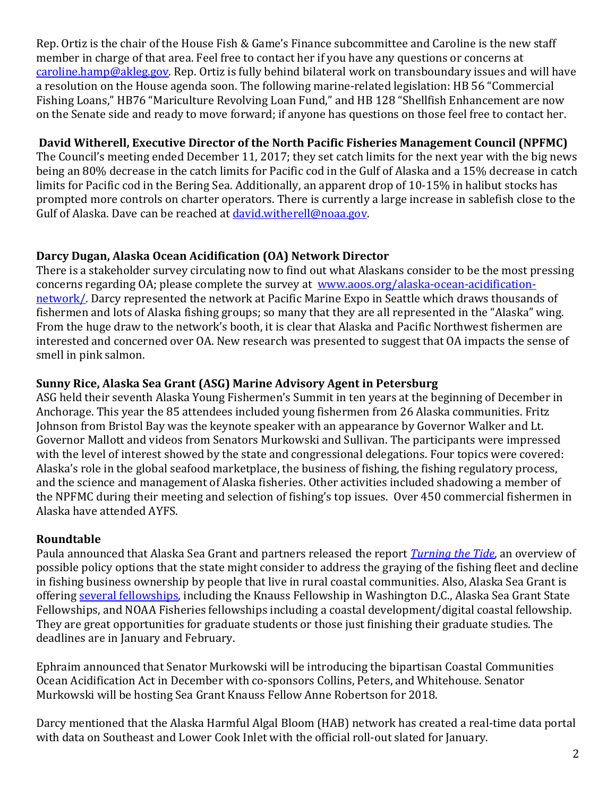Rep. Ortiz is the chair of the House Fish & Game's Finance subcommittee and Caroline is the new staff member in charge of that area. Feel free to contact her if you have any questions or concerns at [caroline.hamp@akleg.gov.](mailto:caroline.hamp@akleg.gov) Rep. Ortiz is fully behind bilateral work on transboundary issues and will have a resolution on the House agenda soon. The following marine-related legislation: HB 56 "Commercial Fishing Loans," HB76 "Mariculture Revolving Loan Fund," and HB 128 "Shellfish Enhancement are now on the Senate side and ready to move forward; if anyone has questions on those feel free to contact her.

# **David Witherell, Executive Director of the North Pacific Fisheries Management Council (NPFMC)**

The Council's meeting ended December 11, 2017; they set catch limits for the next year with the big news being an 80% decrease in the catch limits for Pacific cod in the Gulf of Alaska and a 15% decrease in catch limits for Pacific cod in the Bering Sea. Additionally, an apparent drop of 10-15% in halibut stocks has prompted more controls on charter operators. There is currently a large increase in sablefish close to the Gulf of Alaska. Dave can be reached at [david.witherell@noaa.gov.](mailto:david.witherell@noaa.gov)

# **Darcy Dugan, Alaska Ocean Acidification (OA) Network Director**

There is a stakeholder survey circulating now to find out what Alaskans consider to be the most pressing concerns regarding OA; please complete the survey at [www.aoos.org/alaska-ocean-acidification](http://www.aoos.org/alaska-ocean-acidification-network/)[network/.](http://www.aoos.org/alaska-ocean-acidification-network/) Darcy represented the network at Pacific Marine Expo in Seattle which draws thousands of fishermen and lots of Alaska fishing groups; so many that they are all represented in the "Alaska" wing. From the huge draw to the network's booth, it is clear that Alaska and Pacific Northwest fishermen are interested and concerned over OA. New research was presented to suggest that OA impacts the sense of smell in pink salmon.

# **Sunny Rice, Alaska Sea Grant (ASG) Marine Advisory Agent in Petersburg**

ASG held their seventh Alaska Young Fishermen's Summit in ten years at the beginning of December in Anchorage. This year the 85 attendees included young fishermen from 26 Alaska communities. Fritz Johnson from Bristol Bay was the keynote speaker with an appearance by Governor Walker and Lt. Governor Mallott and videos from Senators Murkowski and Sullivan. The participants were impressed with the level of interest showed by the state and congressional delegations. Four topics were covered: Alaska's role in the global seafood marketplace, the business of fishing, the fishing regulatory process, and the science and management of Alaska fisheries. Other activities included shadowing a member of the NPFMC during their meeting and selection of fishing's top issues. Over 450 commercial fishermen in Alaska have attended AYFS.

# **Roundtable**

Paula announced that Alaska Sea Grant and partners released the report *[Turning the Tide](http://fishermen.alaska.edu/turning-the-tide)*, an overview of possible policy options that the state might consider to address the graying of the fishing fleet and decline in fishing business ownership by people that live in rural coastal communities. Also, Alaska Sea Grant is offering [several fellowships,](https://seagrant.uaf.edu/research/fellowships.html) including the Knauss Fellowship in Washington D.C., Alaska Sea Grant State Fellowships, and NOAA Fisheries fellowships including a coastal development/digital coastal fellowship. They are great opportunities for graduate students or those just finishing their graduate studies. The deadlines are in January and February.

Ephraim announced that Senator Murkowski will be introducing the bipartisan Coastal Communities Ocean Acidification Act in December with co-sponsors Collins, Peters, and Whitehouse. Senator Murkowski will be hosting Sea Grant Knauss Fellow Anne Robertson for 2018.

Darcy mentioned that the Alaska Harmful Algal Bloom (HAB) network has created a real-time data portal with data on Southeast and Lower Cook Inlet with the official roll-out slated for January.